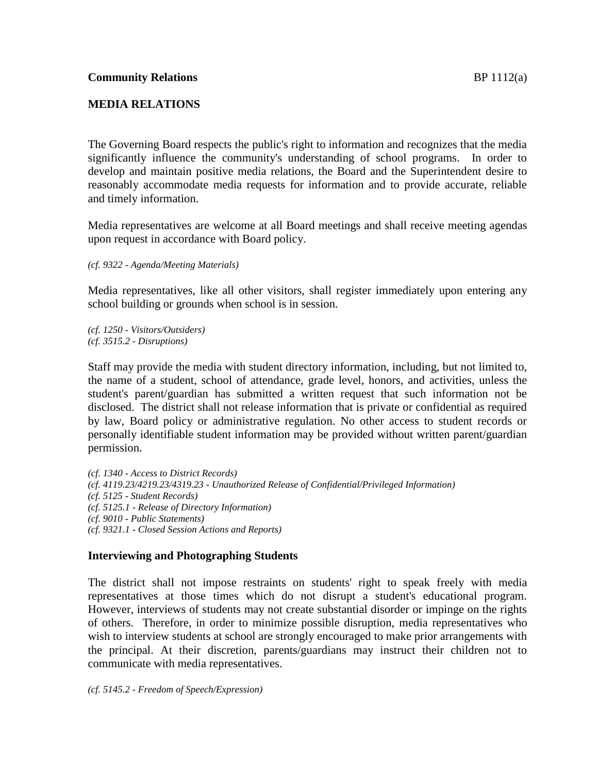## **MEDIA RELATIONS**

The Governing Board respects the public's right to information and recognizes that the media significantly influence the community's understanding of school programs. In order to develop and maintain positive media relations, the Board and the Superintendent desire to reasonably accommodate media requests for information and to provide accurate, reliable and timely information.

Media representatives are welcome at all Board meetings and shall receive meeting agendas upon request in accordance with Board policy.

*(cf. 9322 - Agenda/Meeting Materials)*

Media representatives, like all other visitors, shall register immediately upon entering any school building or grounds when school is in session.

*(cf. 1250 - Visitors/Outsiders) (cf. 3515.2 - Disruptions)*

Staff may provide the media with student directory information, including, but not limited to, the name of a student, school of attendance, grade level, honors, and activities, unless the student's parent/guardian has submitted a written request that such information not be disclosed. The district shall not release information that is private or confidential as required by law, Board policy or administrative regulation. No other access to student records or personally identifiable student information may be provided without written parent/guardian permission.

*(cf. 1340 - Access to District Records) (cf. 4119.23/4219.23/4319.23 - Unauthorized Release of Confidential/Privileged Information) (cf. 5125 - Student Records) (cf. 5125.1 - Release of Directory Information) (cf. 9010 - Public Statements) (cf. 9321.1 - Closed Session Actions and Reports)*

# **Interviewing and Photographing Students**

The district shall not impose restraints on students' right to speak freely with media representatives at those times which do not disrupt a student's educational program. However, interviews of students may not create substantial disorder or impinge on the rights of others. Therefore, in order to minimize possible disruption, media representatives who wish to interview students at school are strongly encouraged to make prior arrangements with the principal. At their discretion, parents/guardians may instruct their children not to communicate with media representatives.

*(cf. 5145.2 - Freedom of Speech/Expression)*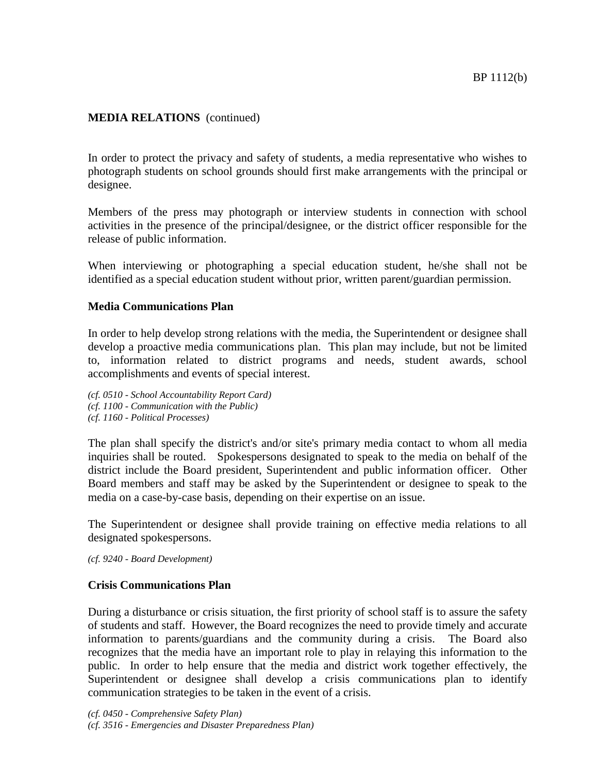## **MEDIA RELATIONS** (continued)

In order to protect the privacy and safety of students, a media representative who wishes to photograph students on school grounds should first make arrangements with the principal or designee.

Members of the press may photograph or interview students in connection with school activities in the presence of the principal/designee, or the district officer responsible for the release of public information.

When interviewing or photographing a special education student, he/she shall not be identified as a special education student without prior, written parent/guardian permission.

#### **Media Communications Plan**

In order to help develop strong relations with the media, the Superintendent or designee shall develop a proactive media communications plan. This plan may include, but not be limited to, information related to district programs and needs, student awards, school accomplishments and events of special interest.

*(cf. 0510 - School Accountability Report Card) (cf. 1100 - Communication with the Public) (cf. 1160 - Political Processes)*

The plan shall specify the district's and/or site's primary media contact to whom all media inquiries shall be routed. Spokespersons designated to speak to the media on behalf of the district include the Board president, Superintendent and public information officer. Other Board members and staff may be asked by the Superintendent or designee to speak to the media on a case-by-case basis, depending on their expertise on an issue.

The Superintendent or designee shall provide training on effective media relations to all designated spokespersons.

*(cf. 9240 - Board Development)*

## **Crisis Communications Plan**

During a disturbance or crisis situation, the first priority of school staff is to assure the safety of students and staff. However, the Board recognizes the need to provide timely and accurate information to parents/guardians and the community during a crisis. The Board also recognizes that the media have an important role to play in relaying this information to the public. In order to help ensure that the media and district work together effectively, the Superintendent or designee shall develop a crisis communications plan to identify communication strategies to be taken in the event of a crisis.